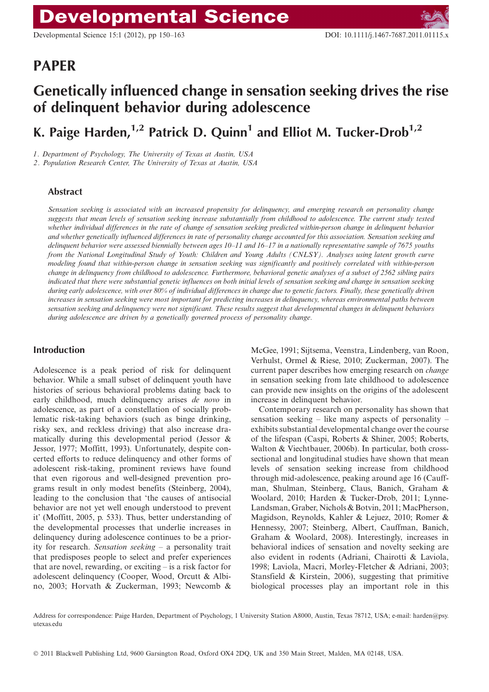# PAPER

# Genetically influenced change in sensation seeking drives the rise of delinquent behavior during adolescence

K. Paige Harden,<sup>1,2</sup> Patrick D. Quinn<sup>1</sup> and Elliot M. Tucker-Drob<sup>1,2</sup>

1. Department of Psychology, The University of Texas at Austin, USA

2. Population Research Center, The University of Texas at Austin, USA

# Abstract

Sensation seeking is associated with an increased propensity for delinquency, and emerging research on personality change suggests that mean levels of sensation seeking increase substantially from childhood to adolescence. The current study tested whether individual differences in the rate of change of sensation seeking predicted within-person change in delinquent behavior and whether genetically influenced differences in rate of personality change accounted for this association. Sensation seeking and delinquent behavior were assessed biennially between ages 10–11 and 16–17 in a nationally representative sample of 7675 youths from the National Longitudinal Study of Youth: Children and Young Adults (CNLSY). Analyses using latent growth curve modeling found that within-person change in sensation seeking was significantly and positively correlated with within-person change in delinquency from childhood to adolescence. Furthermore, behavioral genetic analyses of a subset of 2562 sibling pairs indicated that there were substantial genetic influences on both initial levels of sensation seeking and change in sensation seeking during early adolescence, with over 80% of individual differences in change due to genetic factors. Finally, these genetically driven increases in sensation seeking were most important for predicting increases in delinquency, whereas environmental paths between sensation seeking and delinquency were not significant. These results suggest that developmental changes in delinquent behaviors during adolescence are driven by a genetically governed process of personality change.

# Introduction

Adolescence is a peak period of risk for delinquent behavior. While a small subset of delinquent youth have histories of serious behavioral problems dating back to early childhood, much delinquency arises de novo in adolescence, as part of a constellation of socially problematic risk-taking behaviors (such as binge drinking, risky sex, and reckless driving) that also increase dramatically during this developmental period (Jessor & Jessor, 1977; Moffitt, 1993). Unfortunately, despite concerted efforts to reduce delinquency and other forms of adolescent risk-taking, prominent reviews have found that even rigorous and well-designed prevention programs result in only modest benefits (Steinberg, 2004), leading to the conclusion that 'the causes of antisocial behavior are not yet well enough understood to prevent it' (Moffitt, 2005, p. 533). Thus, better understanding of the developmental processes that underlie increases in delinquency during adolescence continues to be a priority for research. Sensation seeking – a personality trait that predisposes people to select and prefer experiences that are novel, rewarding, or exciting – is a risk factor for adolescent delinquency (Cooper, Wood, Orcutt & Albino, 2003; Horvath & Zuckerman, 1993; Newcomb &

McGee, 1991; Sijtsema, Veenstra, Lindenberg, van Roon, Verhulst, Ormel & Riese, 2010; Zuckerman, 2007). The current paper describes how emerging research on change in sensation seeking from late childhood to adolescence can provide new insights on the origins of the adolescent increase in delinquent behavior.

Contemporary research on personality has shown that sensation seeking – like many aspects of personality – exhibits substantial developmental change over the course of the lifespan (Caspi, Roberts & Shiner, 2005; Roberts, Walton & Viechtbauer, 2006b). In particular, both crosssectional and longitudinal studies have shown that mean levels of sensation seeking increase from childhood through mid-adolescence, peaking around age 16 (Cauffman, Shulman, Steinberg, Claus, Banich, Graham & Woolard, 2010; Harden & Tucker-Drob, 2011; Lynne-Landsman, Graber, Nichols & Botvin, 2011; MacPherson, Magidson, Reynolds, Kahler & Lejuez, 2010; Romer & Hennessy, 2007; Steinberg, Albert, Cauffman, Banich, Graham & Woolard, 2008). Interestingly, increases in behavioral indices of sensation and novelty seeking are also evident in rodents (Adriani, Chairotti & Laviola, 1998; Laviola, Macri, Morley-Fletcher & Adriani, 2003; Stansfield & Kirstein, 2006), suggesting that primitive biological processes play an important role in this

Address for correspondence: Paige Harden, Department of Psychology, 1 University Station A8000, Austin, Texas 78712, USA; e-mail: harden@psy. utexas.edu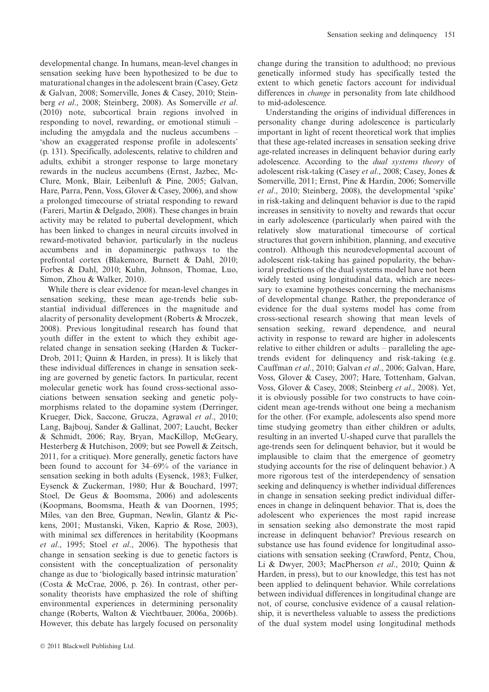developmental change. In humans, mean-level changes in sensation seeking have been hypothesized to be due to maturational changes in the adolescent brain (Casey, Getz & Galvan, 2008; Somerville, Jones & Casey, 2010; Steinberg et al., 2008; Steinberg, 2008). As Somerville et al. (2010) note, subcortical brain regions involved in responding to novel, rewarding, or emotional stimuli – including the amygdala and the nucleus accumbens – 'show an exaggerated response profile in adolescents' (p. 131). Specifically, adolescents, relative to children and adults, exhibit a stronger response to large monetary rewards in the nucleus accumbens (Ernst, Jazbec, Mc-Clure, Monk, Blair, Leibenluft & Pine, 2005; Galvan, Hare, Parra, Penn, Voss, Glover & Casey, 2006), and show a prolonged timecourse of striatal responding to reward (Fareri, Martin & Delgado, 2008). These changes in brain activity may be related to pubertal development, which has been linked to changes in neural circuits involved in reward-motivated behavior, particularly in the nucleus accumbens and in dopaminergic pathways to the prefrontal cortex (Blakemore, Burnett & Dahl, 2010; Forbes & Dahl, 2010; Kuhn, Johnson, Thomae, Luo, Simon, Zhou & Walker, 2010).

While there is clear evidence for mean-level changes in sensation seeking, these mean age-trends belie substantial individual differences in the magnitude and alacrity of personality development (Roberts & Mroczek, 2008). Previous longitudinal research has found that youth differ in the extent to which they exhibit agerelated change in sensation seeking (Harden & Tucker-Drob, 2011; Quinn & Harden, in press). It is likely that these individual differences in change in sensation seeking are governed by genetic factors. In particular, recent molecular genetic work has found cross-sectional associations between sensation seeking and genetic polymorphisms related to the dopamine system (Derringer, Krueger, Dick, Saccone, Grucza, Agrawal et al., 2010; Lang, Bajbouj, Sander & Gallinat, 2007; Laucht, Becker & Schmidt, 2006; Ray, Bryan, MacKillop, McGeary, Hesterberg & Hutchison, 2009; but see Powell & Zeitsch, 2011, for a critique). More generally, genetic factors have been found to account for 34–69% of the variance in sensation seeking in both adults (Eysenck, 1983; Fulker, Eysenck & Zuckerman, 1980; Hur & Bouchard, 1997; Stoel, De Geus & Boomsma, 2006) and adolescents (Koopmans, Boomsma, Heath & van Doornen, 1995; Miles, van den Bree, Gupman, Newlin, Glantz & Pickens, 2001; Mustanski, Viken, Kaprio & Rose, 2003), with minimal sex differences in heritability (Koopmans et al., 1995; Stoel et al., 2006). The hypothesis that change in sensation seeking is due to genetic factors is consistent with the conceptualization of personality change as due to 'biologically based intrinsic maturation' (Costa & McCrae, 2006, p. 26). In contrast, other personality theorists have emphasized the role of shifting environmental experiences in determining personality change (Roberts, Walton & Viechtbauer, 2006a, 2006b). However, this debate has largely focused on personality change during the transition to adulthood; no previous genetically informed study has specifically tested the extent to which genetic factors account for individual differences in change in personality from late childhood to mid-adolescence.

Understanding the origins of individual differences in personality change during adolescence is particularly important in light of recent theoretical work that implies that these age-related increases in sensation seeking drive age-related increases in delinquent behavior during early adolescence. According to the dual systems theory of adolescent risk-taking (Casey et al., 2008; Casey, Jones & Somerville, 2011; Ernst, Pine & Hardin, 2006; Somerville et al., 2010; Steinberg, 2008), the developmental 'spike' in risk-taking and delinquent behavior is due to the rapid increases in sensitivity to novelty and rewards that occur in early adolescence (particularly when paired with the relatively slow maturational timecourse of cortical structures that govern inhibition, planning, and executive control). Although this neurodevelopmental account of adolescent risk-taking has gained popularity, the behavioral predictions of the dual systems model have not been widely tested using longitudinal data, which are necessary to examine hypotheses concerning the mechanisms of developmental change. Rather, the preponderance of evidence for the dual systems model has come from cross-sectional research showing that mean levels of sensation seeking, reward dependence, and neural activity in response to reward are higher in adolescents relative to either children or adults – paralleling the agetrends evident for delinquency and risk-taking (e.g. Cauffman et al., 2010; Galvan et al., 2006; Galvan, Hare, Voss, Glover & Casey, 2007; Hare, Tottenham, Galvan, Voss, Glover & Casey, 2008; Steinberg et al., 2008). Yet, it is obviously possible for two constructs to have coincident mean age-trends without one being a mechanism for the other. (For example, adolescents also spend more time studying geometry than either children or adults, resulting in an inverted U-shaped curve that parallels the age-trends seen for delinquent behavior, but it would be implausible to claim that the emergence of geometry studying accounts for the rise of delinquent behavior.) A more rigorous test of the interdependency of sensation seeking and delinquency is whether individual differences in change in sensation seeking predict individual differences in change in delinquent behavior. That is, does the adolescent who experiences the most rapid increase in sensation seeking also demonstrate the most rapid increase in delinquent behavior? Previous research on substance use has found evidence for longitudinal associations with sensation seeking (Crawford, Pentz, Chou, Li & Dwyer, 2003; MacPherson et al., 2010; Quinn & Harden, in press), but to our knowledge, this test has not been applied to delinquent behavior. While correlations between individual differences in longitudinal change are not, of course, conclusive evidence of a causal relationship, it is nevertheless valuable to assess the predictions of the dual system model using longitudinal methods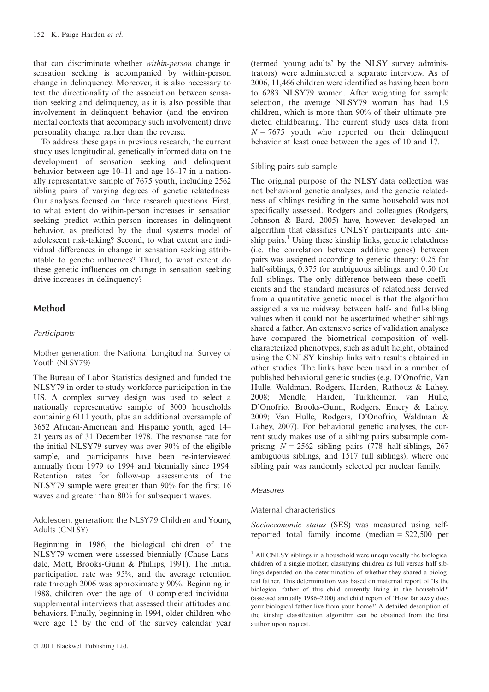that can discriminate whether within-person change in sensation seeking is accompanied by within-person change in delinquency. Moreover, it is also necessary to test the directionality of the association between sensation seeking and delinquency, as it is also possible that involvement in delinquent behavior (and the environmental contexts that accompany such involvement) drive personality change, rather than the reverse.

To address these gaps in previous research, the current study uses longitudinal, genetically informed data on the development of sensation seeking and delinquent behavior between age 10–11 and age 16–17 in a nationally representative sample of 7675 youth, including 2562 sibling pairs of varying degrees of genetic relatedness. Our analyses focused on three research questions. First, to what extent do within-person increases in sensation seeking predict within-person increases in delinquent behavior, as predicted by the dual systems model of adolescent risk-taking? Second, to what extent are individual differences in change in sensation seeking attributable to genetic influences? Third, to what extent do these genetic influences on change in sensation seeking drive increases in delinquency?

# Method

## **Participants**

Mother generation: the National Longitudinal Survey of Youth (NLSY79)

The Bureau of Labor Statistics designed and funded the NLSY79 in order to study workforce participation in the US. A complex survey design was used to select a nationally representative sample of 3000 households containing 6111 youth, plus an additional oversample of 3652 African-American and Hispanic youth, aged 14– 21 years as of 31 December 1978. The response rate for the initial NLSY79 survey was over 90% of the eligible sample, and participants have been re-interviewed annually from 1979 to 1994 and biennially since 1994. Retention rates for follow-up assessments of the NLSY79 sample were greater than 90% for the first 16 waves and greater than 80% for subsequent waves.

Adolescent generation: the NLSY79 Children and Young Adults (CNLSY)

Beginning in 1986, the biological children of the NLSY79 women were assessed biennially (Chase-Lansdale, Mott, Brooks-Gunn & Phillips, 1991). The initial participation rate was 95%, and the average retention rate through 2006 was approximately 90%. Beginning in 1988, children over the age of 10 completed individual supplemental interviews that assessed their attitudes and behaviors. Finally, beginning in 1994, older children who were age 15 by the end of the survey calendar year (termed 'young adults' by the NLSY survey administrators) were administered a separate interview. As of 2006, 11,466 children were identified as having been born to 6283 NLSY79 women. After weighting for sample selection, the average NLSY79 woman has had 1.9 children, which is more than 90% of their ultimate predicted childbearing. The current study uses data from  $N = 7675$  youth who reported on their delinquent behavior at least once between the ages of 10 and 17.

#### Sibling pairs sub-sample

The original purpose of the NLSY data collection was not behavioral genetic analyses, and the genetic relatedness of siblings residing in the same household was not specifically assessed. Rodgers and colleagues (Rodgers, Johnson & Bard, 2005) have, however, developed an algorithm that classifies CNLSY participants into kinship pairs.<sup>1</sup> Using these kinship links, genetic relatedness (i.e. the correlation between additive genes) between pairs was assigned according to genetic theory: 0.25 for half-siblings, 0.375 for ambiguous siblings, and 0.50 for full siblings. The only difference between these coefficients and the standard measures of relatedness derived from a quantitative genetic model is that the algorithm assigned a value midway between half- and full-sibling values when it could not be ascertained whether siblings shared a father. An extensive series of validation analyses have compared the biometrical composition of wellcharacterized phenotypes, such as adult height, obtained using the CNLSY kinship links with results obtained in other studies. The links have been used in a number of published behavioral genetic studies (e.g. D'Onofrio, Van Hulle, Waldman, Rodgers, Harden, Rathouz & Lahey, 2008; Mendle, Harden, Turkheimer, van Hulle, D'Onofrio, Brooks-Gunn, Rodgers, Emery & Lahey, 2009; Van Hulle, Rodgers, D'Onofrio, Waldman & Lahey, 2007). For behavioral genetic analyses, the current study makes use of a sibling pairs subsample comprising  $N = 2562$  sibling pairs (778 half-siblings, 267) ambiguous siblings, and 1517 full siblings), where one sibling pair was randomly selected per nuclear family.

#### Measures

## Maternal characteristics

Socioeconomic status (SES) was measured using selfreported total family income (median = \$22,500 per

<sup>&</sup>lt;sup>1</sup> All CNLSY siblings in a household were unequivocally the biological children of a single mother; classifying children as full versus half siblings depended on the determination of whether they shared a biological father. This determination was based on maternal report of 'Is the biological father of this child currently living in the household?' (assessed annually 1986–2000) and child report of 'How far away does your biological father live from your home?' A detailed description of the kinship classification algorithm can be obtained from the first author upon request.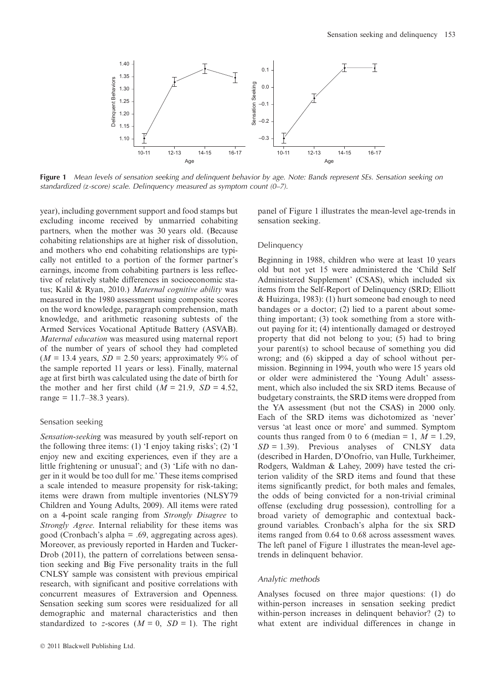

Figure 1 Mean levels of sensation seeking and delinquent behavior by age. Note: Bands represent SEs. Sensation seeking on standardized (z-score) scale. Delinquency measured as symptom count (0–7).

year), including government support and food stamps but excluding income received by unmarried cohabiting partners, when the mother was 30 years old. (Because cohabiting relationships are at higher risk of dissolution, and mothers who end cohabiting relationships are typically not entitled to a portion of the former partner's earnings, income from cohabiting partners is less reflective of relatively stable differences in socioeconomic status; Kalil & Ryan, 2010.) Maternal cognitive ability was measured in the 1980 assessment using composite scores on the word knowledge, paragraph comprehension, math knowledge, and arithmetic reasoning subtests of the Armed Services Vocational Aptitude Battery (ASVAB). Maternal education was measured using maternal report of the number of years of school they had completed  $(M = 13.4$  years,  $SD = 2.50$  years; approximately 9% of the sample reported 11 years or less). Finally, maternal age at first birth was calculated using the date of birth for the mother and her first child ( $M = 21.9$ ,  $SD = 4.52$ ,  $range = 11.7 - 38.3 \text{ years}.$ 

#### Sensation seeking

Sensation-seeking was measured by youth self-report on the following three items: (1) 'I enjoy taking risks'; (2) 'I enjoy new and exciting experiences, even if they are a little frightening or unusual'; and (3) 'Life with no danger in it would be too dull for me.' These items comprised a scale intended to measure propensity for risk-taking; items were drawn from multiple inventories (NLSY79 Children and Young Adults, 2009). All items were rated on a 4-point scale ranging from Strongly Disagree to Strongly Agree. Internal reliability for these items was good (Cronbach's alpha = .69, aggregating across ages). Moreover, as previously reported in Harden and Tucker-Drob (2011), the pattern of correlations between sensation seeking and Big Five personality traits in the full CNLSY sample was consistent with previous empirical research, with significant and positive correlations with concurrent measures of Extraversion and Openness. Sensation seeking sum scores were residualized for all demographic and maternal characteristics and then standardized to z-scores  $(M = 0, SD = 1)$ . The right

panel of Figure 1 illustrates the mean-level age-trends in sensation seeking.

#### Delinquency

Beginning in 1988, children who were at least 10 years old but not yet 15 were administered the 'Child Self Administered Supplement' (CSAS), which included six items from the Self-Report of Delinquency (SRD; Elliott & Huizinga, 1983): (1) hurt someone bad enough to need bandages or a doctor; (2) lied to a parent about something important; (3) took something from a store without paying for it; (4) intentionally damaged or destroyed property that did not belong to you; (5) had to bring your parent(s) to school because of something you did wrong; and (6) skipped a day of school without permission. Beginning in 1994, youth who were 15 years old or older were administered the 'Young Adult' assessment, which also included the six SRD items. Because of budgetary constraints, the SRD items were dropped from the YA assessment (but not the CSAS) in 2000 only. Each of the SRD items was dichotomized as 'never' versus 'at least once or more' and summed. Symptom counts thus ranged from 0 to 6 (median = 1,  $M = 1.29$ ,  $SD = 1.39$ . Previous analyses of CNLSY data (described in Harden, D'Onofrio, van Hulle, Turkheimer, Rodgers, Waldman & Lahey, 2009) have tested the criterion validity of the SRD items and found that these items significantly predict, for both males and females, the odds of being convicted for a non-trivial criminal offense (excluding drug possession), controlling for a broad variety of demographic and contextual background variables. Cronbach's alpha for the six SRD items ranged from 0.64 to 0.68 across assessment waves. The left panel of Figure 1 illustrates the mean-level agetrends in delinquent behavior.

#### Analytic methods

Analyses focused on three major questions: (1) do within-person increases in sensation seeking predict within-person increases in delinquent behavior? (2) to what extent are individual differences in change in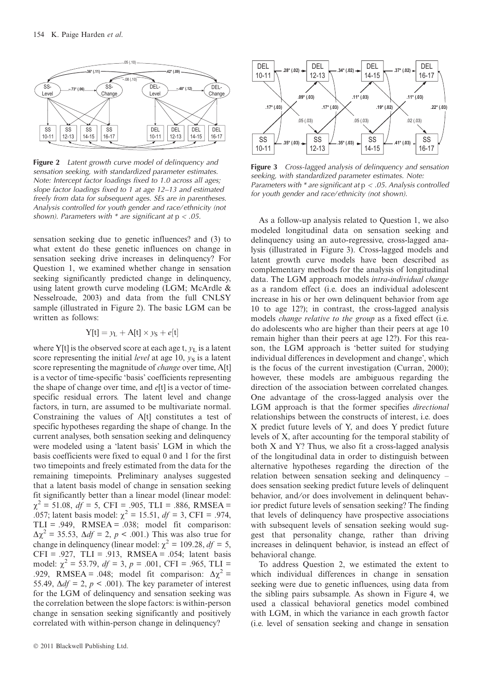

Figure 2 Latent growth curve model of delinquency and sensation seeking, with standardized parameter estimates. Note: Intercept factor loadings fixed to 1.0 across all ages; slope factor loadings fixed to 1 at age 12–13 and estimated freely from data for subsequent ages. SEs are in parentheses. Analysis controlled for youth gender and race ⁄ ethnicity (not shown). Parameters with  $*$  are significant at  $p < .05$ .

sensation seeking due to genetic influences? and (3) to what extent do these genetic influences on change in sensation seeking drive increases in delinquency? For Question 1, we examined whether change in sensation seeking significantly predicted change in delinquency, using latent growth curve modeling (LGM; McArdle & Nesselroade, 2003) and data from the full CNLSY sample (illustrated in Figure 2). The basic LGM can be written as follows:

$$
Y[t] = y_L + A[t] \times y_S + e[t]
$$

where Y[t] is the observed score at each age t,  $y_L$  is a latent score representing the initial *level* at age 10,  $y<sub>S</sub>$  is a latent score representing the magnitude of *change* over time, A[t] is a vector of time-specific 'basis' coefficients representing the shape of change over time, and e<sup>[t]</sup> is a vector of timespecific residual errors. The latent level and change factors, in turn, are assumed to be multivariate normal. Constraining the values of A[t] constitutes a test of specific hypotheses regarding the shape of change. In the current analyses, both sensation seeking and delinquency were modeled using a 'latent basis' LGM in which the basis coefficients were fixed to equal 0 and 1 for the first two timepoints and freely estimated from the data for the remaining timepoints. Preliminary analyses suggested that a latent basis model of change in sensation seeking fit significantly better than a linear model (linear model:  $\chi^2$  = 51.08, df = 5, CFI = .905, TLI = .886, RMSEA = .057; latent basis model:  $\chi^2 = 15.51$ ,  $df = 3$ , CFI = .974,  $TLI = .949$ ,  $RMSEA = .038$ ; model fit comparison:  $\Delta \chi^2$  = 35.53,  $\Delta df = 2$ ,  $p < .001$ .) This was also true for change in delinquency (linear model:  $\chi^2 = 109.28$ ,  $df = 5$ , CFI = .927, TLI = .913, RMSEA = .054; latent basis model:  $\chi^2 = 53.79$ ,  $df = 3$ ,  $p = .001$ , CFI = .965, TLI = .929, RMSEA = .048; model fit comparison:  $\Delta \chi^2$  = 55.49,  $\Delta df = 2$ ,  $p < .001$ ). The key parameter of interest for the LGM of delinquency and sensation seeking was the correlation between the slope factors: is within-person change in sensation seeking significantly and positively correlated with within-person change in delinquency?



Figure 3 Cross-lagged analysis of delinquency and sensation seeking, with standardized parameter estimates. Note: Parameters with  $*$  are significant at  $p < .05$ . Analysis controlled for youth gender and race/ethnicity (not shown).

As a follow-up analysis related to Question 1, we also modeled longitudinal data on sensation seeking and delinquency using an auto-regressive, cross-lagged analysis (illustrated in Figure 3). Cross-lagged models and latent growth curve models have been described as complementary methods for the analysis of longitudinal data. The LGM approach models intra-individual change as a random effect (i.e. does an individual adolescent increase in his or her own delinquent behavior from age 10 to age 12?); in contrast, the cross-lagged analysis models change relative to the group as a fixed effect (i.e. do adolescents who are higher than their peers at age 10 remain higher than their peers at age 12?). For this reason, the LGM approach is 'better suited for studying individual differences in development and change', which is the focus of the current investigation (Curran, 2000); however, these models are ambiguous regarding the direction of the association between correlated changes. One advantage of the cross-lagged analysis over the LGM approach is that the former specifies directional relationships between the constructs of interest, i.e. does X predict future levels of Y, and does Y predict future levels of X, after accounting for the temporal stability of both X and Y? Thus, we also fit a cross-lagged analysis of the longitudinal data in order to distinguish between alternative hypotheses regarding the direction of the relation between sensation seeking and delinquency – does sensation seeking predict future levels of delinquent behavior, and/or does involvement in delinquent behavior predict future levels of sensation seeking? The finding that levels of delinquency have prospective associations with subsequent levels of sensation seeking would suggest that personality change, rather than driving increases in delinquent behavior, is instead an effect of behavioral change.

To address Question 2, we estimated the extent to which individual differences in change in sensation seeking were due to genetic influences, using data from the sibling pairs subsample. As shown in Figure 4, we used a classical behavioral genetics model combined with LGM, in which the variance in each growth factor (i.e. level of sensation seeking and change in sensation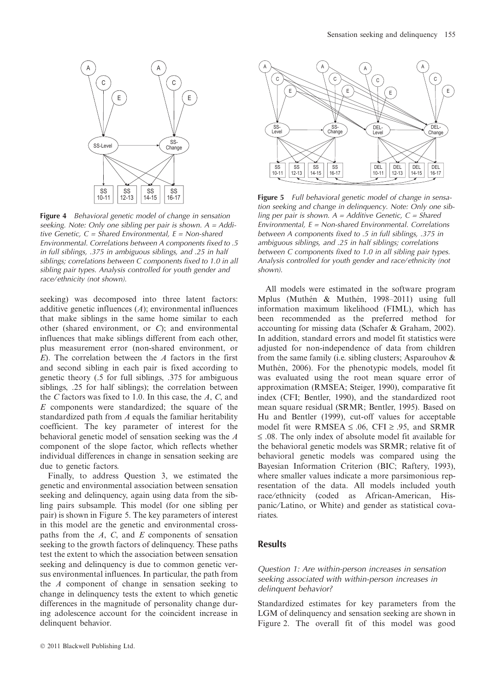

Figure 4 Behavioral genetic model of change in sensation seeking. Note: Only one sibling per pair is shown.  $A = Addi$ tive Genetic,  $C =$  Shared Environmental,  $E =$  Non-shared Environmental. Correlations between A components fixed to .5 in full siblings, .375 in ambiguous siblings, and .25 in half siblings; correlations between C components fixed to 1.0 in all sibling pair types. Analysis controlled for youth gender and race/ethnicity (not shown).

seeking) was decomposed into three latent factors: additive genetic influences  $(A)$ ; environmental influences that make siblings in the same home similar to each other (shared environment, or C); and environmental influences that make siblings different from each other, plus measurement error (non-shared environment, or E). The correlation between the  $A$  factors in the first and second sibling in each pair is fixed according to genetic theory (.5 for full siblings, .375 for ambiguous siblings, .25 for half siblings); the correlation between the  $C$  factors was fixed to 1.0. In this case, the  $A$ ,  $C$ , and  $E$  components were standardized; the square of the standardized path from  $A$  equals the familiar heritability coefficient. The key parameter of interest for the behavioral genetic model of sensation seeking was the A component of the slope factor, which reflects whether individual differences in change in sensation seeking are due to genetic factors.

Finally, to address Question 3, we estimated the genetic and environmental association between sensation seeking and delinquency, again using data from the sibling pairs subsample. This model (for one sibling per pair) is shown in Figure 5. The key parameters of interest in this model are the genetic and environmental crosspaths from the  $A$ ,  $C$ , and  $E$  components of sensation seeking to the growth factors of delinquency. These paths test the extent to which the association between sensation seeking and delinquency is due to common genetic versus environmental influences. In particular, the path from the A component of change in sensation seeking to change in delinquency tests the extent to which genetic differences in the magnitude of personality change during adolescence account for the coincident increase in delinquent behavior.



Figure 5 Full behavioral genetic model of change in sensation seeking and change in delinquency. Note: Only one sibling per pair is shown.  $A = Additive$  Genetic,  $C = Shared$ Environmental,  $E = Non-shared$  Environmental. Correlations between A components fixed to .5 in full siblings, .375 in ambiguous siblings, and .25 in half siblings; correlations between C components fixed to 1.0 in all sibling pair types. Analysis controlled for youth gender and race ⁄ ethnicity (not shown).

All models were estimated in the software program Mplus (Muthén & Muthén, 1998–2011) using full information maximum likelihood (FIML), which has been recommended as the preferred method for accounting for missing data (Schafer & Graham, 2002). In addition, standard errors and model fit statistics were adjusted for non-independence of data from children from the same family (i.e. sibling clusters; Asparouhov  $\&$ Muthén, 2006). For the phenotypic models, model fit was evaluated using the root mean square error of approximation (RMSEA; Steiger, 1990), comparative fit index (CFI; Bentler, 1990), and the standardized root mean square residual (SRMR; Bentler, 1995). Based on Hu and Bentler (1999), cut-off values for acceptable model fit were RMSEA  $\leq .06$ , CFI  $\geq .95$ , and SRMR  $\leq$  0.08. The only index of absolute model fit available for the behavioral genetic models was SRMR; relative fit of behavioral genetic models was compared using the Bayesian Information Criterion (BIC; Raftery, 1993), where smaller values indicate a more parsimonious representation of the data. All models included youth race ⁄ ethnicity (coded as African-American, Hispanic ⁄Latino, or White) and gender as statistical covariates.

## **Results**

## Question 1: Are within-person increases in sensation seeking associated with within-person increases in delinquent behavior?

Standardized estimates for key parameters from the LGM of delinquency and sensation seeking are shown in Figure 2. The overall fit of this model was good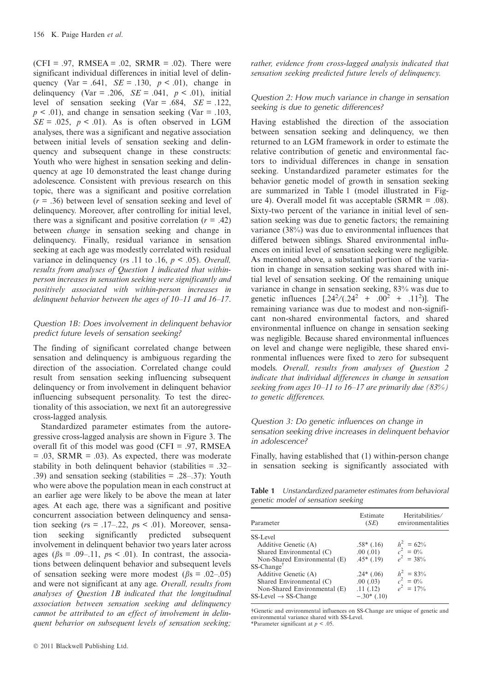(CFI = .97, RMSEA = .02, SRMR = .02). There were significant individual differences in initial level of delinquency (Var = .641,  $SE = .130$ ,  $p < .01$ ), change in delinquency (Var = .206,  $SE = .041$ ,  $p < .01$ ), initial level of sensation seeking (Var = .684,  $SE = .122$ ,  $p < .01$ ), and change in sensation seeking (Var = .103,  $SE = .025$ ,  $p < .01$ ). As is often observed in LGM analyses, there was a significant and negative association between initial levels of sensation seeking and delinquency and subsequent change in these constructs: Youth who were highest in sensation seeking and delinquency at age 10 demonstrated the least change during adolescence. Consistent with previous research on this topic, there was a significant and positive correlation  $(r = .36)$  between level of sensation seeking and level of delinquency. Moreover, after controlling for initial level, there was a significant and positive correlation  $(r = .42)$ between change in sensation seeking and change in delinquency. Finally, residual variance in sensation seeking at each age was modestly correlated with residual variance in delinquency (rs .11 to .16,  $p < .05$ ). Overall, results from analyses of Question 1 indicated that withinperson increases in sensation seeking were significantly and positively associated with within-person increases in delinquent behavior between the ages of 10–11 and 16–17.

# Question 1B: Does involvement in delinquent behavior predict future levels of sensation seeking?

The finding of significant correlated change between sensation and delinquency is ambiguous regarding the direction of the association. Correlated change could result from sensation seeking influencing subsequent delinquency or from involvement in delinquent behavior influencing subsequent personality. To test the directionality of this association, we next fit an autoregressive cross-lagged analysis.

Standardized parameter estimates from the autoregressive cross-lagged analysis are shown in Figure 3. The overall fit of this model was good (CFI = .97, RMSEA  $= .03$ , SRMR  $= .03$ ). As expected, there was moderate stability in both delinquent behavior (stabilities = .32– .39) and sensation seeking (stabilities = .28–.37): Youth who were above the population mean in each construct at an earlier age were likely to be above the mean at later ages. At each age, there was a significant and positive concurrent association between delinquency and sensation seeking  $(rs = .17-.22, ps < .01)$ . Moreover, sensation seeking significantly predicted subsequent involvement in delinquent behavior two years later across ages ( $\beta$ s = .09–.11,  $p$ s < .01). In contrast, the associations between delinquent behavior and subsequent levels of sensation seeking were more modest  $(\beta s = .02-.05)$ and were not significant at any age. Overall, results from analyses of Question 1B indicated that the longitudinal association between sensation seeking and delinquency cannot be attributed to an effect of involvement in delinquent behavior on subsequent levels of sensation seeking;

rather, evidence from cross-lagged analysis indicated that sensation seeking predicted future levels of delinquency.

## Question 2: How much variance in change in sensation seeking is due to genetic differences?

Having established the direction of the association between sensation seeking and delinquency, we then returned to an LGM framework in order to estimate the relative contribution of genetic and environmental factors to individual differences in change in sensation seeking. Unstandardized parameter estimates for the behavior genetic model of growth in sensation seeking are summarized in Table 1 (model illustrated in Figure 4). Overall model fit was acceptable (SRMR = .08). Sixty-two percent of the variance in initial level of sensation seeking was due to genetic factors; the remaining variance (38%) was due to environmental influences that differed between siblings. Shared environmental influences on initial level of sensation seeking were negligible. As mentioned above, a substantial portion of the variation in change in sensation seeking was shared with initial level of sensation seeking. Of the remaining unique variance in change in sensation seeking, 83% was due to genetic influences  $[.24^2/(.24^2 + .00^2 + .11^2)].$  The remaining variance was due to modest and non-significant non-shared environmental factors, and shared environmental influence on change in sensation seeking was negligible. Because shared environmental influences on level and change were negligible, these shared environmental influences were fixed to zero for subsequent models. Overall, results from analyses of Question 2 indicate that individual differences in change in sensation seeking from ages  $10-11$  to  $16-17$  are primarily due  $(83%)$ to genetic differences.

#### Question 3: Do genetic influences on change in sensation seeking drive increases in delinquent behavior in adolescence?

Finally, having established that (1) within-person change in sensation seeking is significantly associated with

Table 1 Unstandardized parameter estimates from behavioral genetic model of sensation seeking

| Parameter                           | Estimate<br>(SE) | Heritabilities/<br>environmentalities |
|-------------------------------------|------------------|---------------------------------------|
| SS-Level                            |                  |                                       |
| Additive Genetic (A)                | $.58*(.16)$      | $h^2 = 62\%$                          |
| Shared Environmental (C)            | .00(0.01)        | $c^2 = 0\%$                           |
| Non-Shared Environmental (E)        | $.45*(.19)$      | $e^2 = 38\%$                          |
| $SS-Change^{\dagger}$               |                  |                                       |
| Additive Genetic (A)                | $.24*(.06)$      | $h^2 = 83\%$                          |
| Shared Environmental (C)            | .00(03)          | $c^2 = 0\%$                           |
| Non-Shared Environmental (E)        | .11(.12)         | $e^2 = 17\%$                          |
| $SS$ -Level $\rightarrow$ SS-Change | $-.30*(.10)$     |                                       |

-Genetic and environmental influences on SS-Change are unique of genetic and environmental variance shared with SS-Level. \*Parameter significant at  $p < .05$ .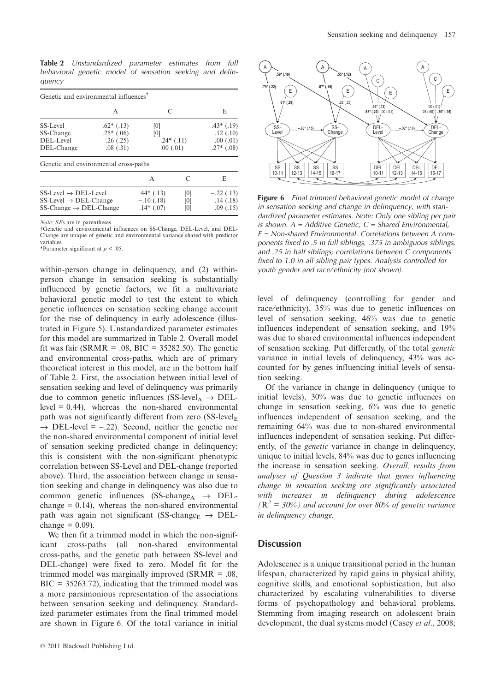Table 2 Unstandardized parameter estimates from full behavioral genetic model of sensation seeking and delinquency

| Genetic and environmental influences <sup>†</sup> |                                                    |                                            |                                                     |  |
|---------------------------------------------------|----------------------------------------------------|--------------------------------------------|-----------------------------------------------------|--|
|                                                   | А                                                  | €                                          | E                                                   |  |
| SS-Level<br>SS-Change<br>DEL-Level<br>DEL-Change  | $.62*(.13)$<br>$.25*(.06)$<br>.26(.25)<br>.08(.31) | [0]<br>[0]<br>$.24*(.11)$<br>$.00$ $(.01)$ | $.43*(.19)$<br>.12(.10)<br>.00(0.01)<br>$.27*(.08)$ |  |

| Genetic and environmental cross-paths                                                                             |                                           |                   |                                       |  |  |
|-------------------------------------------------------------------------------------------------------------------|-------------------------------------------|-------------------|---------------------------------------|--|--|
|                                                                                                                   | А                                         |                   | E                                     |  |  |
| $SS$ -Level $\rightarrow$ DEL-Level<br>$SS$ -Level $\rightarrow$ DEL-Change<br>$SS-Change \rightarrow DEL-Change$ | $.44*(.13)$<br>$-.10(.18)$<br>$.14*(.07)$ | [0]<br>[0]<br>[0] | $-.22(.13)$<br>.14(0.18)<br>.09(0.15) |  |  |

Note: SEs are in parentheses.

-Genetic and environmental influences on SS-Change, DEL-Level, and DEL-Change are unique of genetic and environmental variance shared with predictor variables.

\*Parameter significant at  $p < .05$ 

within-person change in delinquency, and (2) withinperson change in sensation seeking is substantially influenced by genetic factors, we fit a multivariate behavioral genetic model to test the extent to which genetic influences on sensation seeking change account for the rise of delinquency in early adolescence (illustrated in Figure 5). Unstandardized parameter estimates for this model are summarized in Table 2. Overall model fit was fair (SRMR = .08, BIC = 35282.50). The genetic and environmental cross-paths, which are of primary theoretical interest in this model, are in the bottom half of Table 2. First, the association between initial level of sensation seeking and level of delinquency was primarily due to common genetic influences (SS-level<sub>A</sub>  $\rightarrow$  DEL $level = 0.44$ ), whereas the non-shared environmental path was not significantly different from zero  $(SS$ -level<sub>E</sub>  $\rightarrow$  DEL-level = -.22). Second, neither the genetic nor the non-shared environmental component of initial level of sensation seeking predicted change in delinquency; this is consistent with the non-significant phenotypic correlation between SS-Level and DEL-change (reported above). Third, the association between change in sensation seeking and change in delinquency was also due to common genetic influences (SS-change<sub>A</sub>  $\rightarrow$  DELchange  $= 0.14$ ), whereas the non-shared environmental path was again not significant (SS-change<sub>E</sub>  $\rightarrow$  DELchange  $= 0.09$ ).

We then fit a trimmed model in which the non-significant cross-paths (all non-shared environmental cross-paths, and the genetic path between SS-level and DEL-change) were fixed to zero. Model fit for the trimmed model was marginally improved (SRMR = .08,  $BIC = 35263.72$ , indicating that the trimmed model was a more parsimonious representation of the associations between sensation seeking and delinquency. Standardized parameter estimates from the final trimmed model are shown in Figure 6. Of the total variance in initial



Figure 6 Final trimmed behavioral genetic model of change in sensation seeking and change in delinquency, with standardized parameter estimates. Note: Only one sibling per pair is shown.  $A = Additive Genetic, C = Shared Environmental,$  $E = Non-shared$  Environmental. Correlations between A components fixed to .5 in full siblings, .375 in ambiguous siblings, and .25 in half siblings; correlations between C components fixed to 1.0 in all sibling pair types. Analysis controlled for youth gender and race ⁄ ethnicity (not shown).

level of delinquency (controlling for gender and race ⁄ ethnicity), 35% was due to genetic influences on level of sensation seeking, 46% was due to genetic influences independent of sensation seeking, and 19% was due to shared environmental influences independent of sensation seeking. Put differently, of the total genetic variance in initial levels of delinquency, 43% was accounted for by genes influencing initial levels of sensation seeking.

Of the variance in change in delinquency (unique to initial levels), 30% was due to genetic influences on change in sensation seeking, 6% was due to genetic influences independent of sensation seeking, and the remaining 64% was due to non-shared environmental influences independent of sensation seeking. Put differently, of the genetic variance in change in delinquency, unique to initial levels, 84% was due to genes influencing the increase in sensation seeking. Overall, results from analyses of Question 3 indicate that genes influencing change in sensation seeking are significantly associated with increases in delinquency during adolescence  $(R^2 = 30\%)$  and account for over 80% of genetic variance in delinquency change.

## **Discussion**

Adolescence is a unique transitional period in the human lifespan, characterized by rapid gains in physical ability, cognitive skills, and emotional sophistication, but also characterized by escalating vulnerabilities to diverse forms of psychopathology and behavioral problems. Stemming from imaging research on adolescent brain development, the dual systems model (Casey *et al.*, 2008;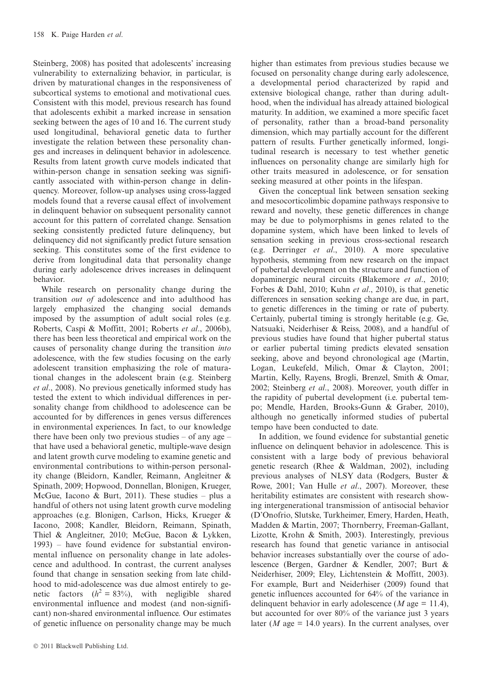Steinberg, 2008) has posited that adolescents' increasing vulnerability to externalizing behavior, in particular, is driven by maturational changes in the responsiveness of subcortical systems to emotional and motivational cues. Consistent with this model, previous research has found that adolescents exhibit a marked increase in sensation seeking between the ages of 10 and 16. The current study used longitudinal, behavioral genetic data to further investigate the relation between these personality changes and increases in delinquent behavior in adolescence. Results from latent growth curve models indicated that within-person change in sensation seeking was significantly associated with within-person change in delinquency. Moreover, follow-up analyses using cross-lagged models found that a reverse causal effect of involvement in delinquent behavior on subsequent personality cannot account for this pattern of correlated change. Sensation seeking consistently predicted future delinquency, but delinquency did not significantly predict future sensation seeking. This constitutes some of the first evidence to derive from longitudinal data that personality change during early adolescence drives increases in delinquent behavior.

While research on personality change during the transition out of adolescence and into adulthood has largely emphasized the changing social demands imposed by the assumption of adult social roles (e.g. Roberts, Caspi & Moffitt, 2001; Roberts et al., 2006b), there has been less theoretical and empirical work on the causes of personality change during the transition into adolescence, with the few studies focusing on the early adolescent transition emphasizing the role of maturational changes in the adolescent brain (e.g. Steinberg et al., 2008). No previous genetically informed study has tested the extent to which individual differences in personality change from childhood to adolescence can be accounted for by differences in genes versus differences in environmental experiences. In fact, to our knowledge there have been only two previous studies – of any age – that have used a behavioral genetic, multiple-wave design and latent growth curve modeling to examine genetic and environmental contributions to within-person personality change (Bleidorn, Kandler, Reimann, Angleitner & Spinath, 2009; Hopwood, Donnellan, Blonigen, Krueger, McGue, Iacono & Burt, 2011). These studies – plus a handful of others not using latent growth curve modeling approaches (e.g. Blonigen, Carlson, Hicks, Krueger & Iacono, 2008; Kandler, Bleidorn, Reimann, Spinath, Thiel & Angleitner, 2010; McGue, Bacon & Lykken, 1993) – have found evidence for substantial environmental influence on personality change in late adolescence and adulthood. In contrast, the current analyses found that change in sensation seeking from late childhood to mid-adolescence was due almost entirely to genetic factors  $(h^2 = 83\%)$ , with negligible shared environmental influence and modest (and non-significant) non-shared environmental influence. Our estimates of genetic influence on personality change may be much higher than estimates from previous studies because we focused on personality change during early adolescence, a developmental period characterized by rapid and extensive biological change, rather than during adulthood, when the individual has already attained biological maturity. In addition, we examined a more specific facet of personality, rather than a broad-band personality dimension, which may partially account for the different pattern of results. Further genetically informed, longitudinal research is necessary to test whether genetic influences on personality change are similarly high for other traits measured in adolescence, or for sensation seeking measured at other points in the lifespan.

Given the conceptual link between sensation seeking and mesocorticolimbic dopamine pathways responsive to reward and novelty, these genetic differences in change may be due to polymorphisms in genes related to the dopamine system, which have been linked to levels of sensation seeking in previous cross-sectional research (e.g. Derringer et al., 2010). A more speculative hypothesis, stemming from new research on the impact of pubertal development on the structure and function of dopaminergic neural circuits (Blakemore et al., 2010; Forbes & Dahl, 2010; Kuhn et al., 2010), is that genetic differences in sensation seeking change are due, in part, to genetic differences in the timing or rate of puberty. Certainly, pubertal timing is strongly heritable (e.g. Ge, Natsuaki, Neiderhiser & Reiss, 2008), and a handful of previous studies have found that higher pubertal status or earlier pubertal timing predicts elevated sensation seeking, above and beyond chronological age (Martin, Logan, Leukefeld, Milich, Omar & Clayton, 2001; Martin, Kelly, Rayens, Brogli, Brenzel, Smith & Omar, 2002; Steinberg et al., 2008). Moreover, youth differ in the rapidity of pubertal development (i.e. pubertal tempo; Mendle, Harden, Brooks-Gunn & Graber, 2010), although no genetically informed studies of pubertal tempo have been conducted to date.

In addition, we found evidence for substantial genetic influence on delinquent behavior in adolescence. This is consistent with a large body of previous behavioral genetic research (Rhee & Waldman, 2002), including previous analyses of NLSY data (Rodgers, Buster & Rowe, 2001; Van Hulle et al., 2007). Moreover, these heritability estimates are consistent with research showing intergenerational transmission of antisocial behavior (D'Onofrio, Slutske, Turkheimer, Emery, Harden, Heath, Madden & Martin, 2007; Thornberry, Freeman-Gallant, Lizotte, Krohn & Smith, 2003). Interestingly, previous research has found that genetic variance in antisocial behavior increases substantially over the course of adolescence (Bergen, Gardner & Kendler, 2007; Burt & Neiderhiser, 2009; Eley, Lichtenstein & Moffitt, 2003). For example, Burt and Neiderhiser (2009) found that genetic influences accounted for 64% of the variance in delinquent behavior in early adolescence (*M* age = 11.4), but accounted for over 80% of the variance just 3 years later ( $M$  age = 14.0 years). In the current analyses, over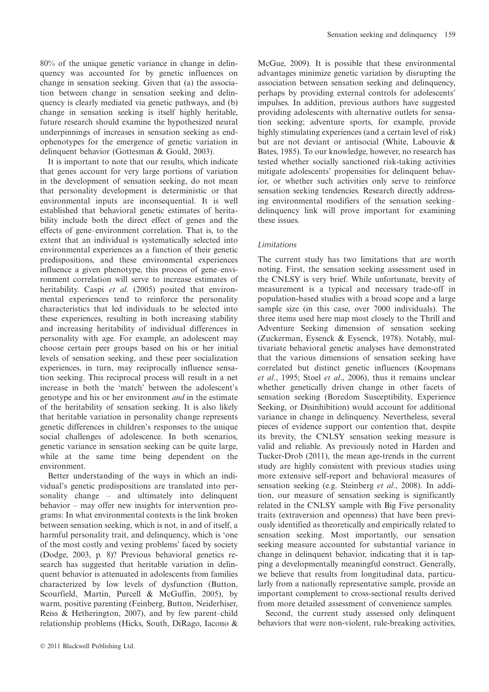80% of the unique genetic variance in change in delinquency was accounted for by genetic influences on change in sensation seeking. Given that (a) the association between change in sensation seeking and delinquency is clearly mediated via genetic pathways, and (b) change in sensation seeking is itself highly heritable, future research should examine the hypothesized neural underpinnings of increases in sensation seeking as endophenotypes for the emergence of genetic variation in delinquent behavior (Gottesman & Gould, 2003).

It is important to note that our results, which indicate that genes account for very large portions of variation in the development of sensation seeking, do not mean that personality development is deterministic or that environmental inputs are inconsequential. It is well established that behavioral genetic estimates of heritability include both the direct effect of genes and the effects of gene–environment correlation. That is, to the extent that an individual is systematically selected into environmental experiences as a function of their genetic predispositions, and these environmental experiences influence a given phenotype, this process of gene–environment correlation will serve to increase estimates of heritability. Caspi et al. (2005) posited that environmental experiences tend to reinforce the personality characteristics that led individuals to be selected into these experiences, resulting in both increasing stability and increasing heritability of individual differences in personality with age. For example, an adolescent may choose certain peer groups based on his or her initial levels of sensation seeking, and these peer socialization experiences, in turn, may reciprocally influence sensation seeking. This reciprocal process will result in a net increase in both the 'match' between the adolescent's genotype and his or her environment and in the estimate of the heritability of sensation seeking. It is also likely that heritable variation in personality change represents genetic differences in children's responses to the unique social challenges of adolescence. In both scenarios, genetic variance in sensation seeking can be quite large, while at the same time being dependent on the environment.

Better understanding of the ways in which an individual's genetic predispositions are translated into personality change – and ultimately into delinquent behavior – may offer new insights for intervention programs: In what environmental contexts is the link broken between sensation seeking, which is not, in and of itself, a harmful personality trait, and delinquency, which is 'one of the most costly and vexing problems' faced by society (Dodge, 2003, p. 8)? Previous behavioral genetics research has suggested that heritable variation in delinquent behavior is attenuated in adolescents from families characterized by low levels of dysfunction (Button, Scourfield, Martin, Purcell & McGuffin, 2005), by warm, positive parenting (Feinberg, Button, Neiderhiser, Reiss & Hetherington, 2007), and by few parent–child relationship problems (Hicks, South, DiRago, Iacono & McGue, 2009). It is possible that these environmental advantages minimize genetic variation by disrupting the association between sensation seeking and delinquency, perhaps by providing external controls for adolescents' impulses. In addition, previous authors have suggested providing adolescents with alternative outlets for sensation seeking; adventure sports, for example, provide highly stimulating experiences (and a certain level of risk) but are not deviant or antisocial (White, Labouvie & Bates, 1985). To our knowledge, however, no research has tested whether socially sanctioned risk-taking activities mitigate adolescents' propensities for delinquent behavior, or whether such activities only serve to reinforce sensation seeking tendencies. Research directly addressing environmental modifiers of the sensation seeking– delinquency link will prove important for examining these issues.

#### Limitations

The current study has two limitations that are worth noting. First, the sensation seeking assessment used in the CNLSY is very brief. While unfortunate, brevity of measurement is a typical and necessary trade-off in population-based studies with a broad scope and a large sample size (in this case, over 7000 individuals). The three items used here map most closely to the Thrill and Adventure Seeking dimension of sensation seeking (Zuckerman, Eysenck & Eysenck, 1978). Notably, multivariate behavioral genetic analyses have demonstrated that the various dimensions of sensation seeking have correlated but distinct genetic influences (Koopmans et al., 1995; Stoel et al., 2006), thus it remains unclear whether genetically driven change in other facets of sensation seeking (Boredom Susceptibility, Experience Seeking, or Disinhibition) would account for additional variance in change in delinquency. Nevertheless, several pieces of evidence support our contention that, despite its brevity, the CNLSY sensation seeking measure is valid and reliable. As previously noted in Harden and Tucker-Drob (2011), the mean age-trends in the current study are highly consistent with previous studies using more extensive self-report and behavioral measures of sensation seeking (e.g. Steinberg et al., 2008). In addition, our measure of sensation seeking is significantly related in the CNLSY sample with Big Five personality traits (extraversion and openness) that have been previously identified as theoretically and empirically related to sensation seeking. Most importantly, our sensation seeking measure accounted for substantial variance in change in delinquent behavior, indicating that it is tapping a developmentally meaningful construct. Generally, we believe that results from longitudinal data, particularly from a nationally representative sample, provide an important complement to cross-sectional results derived from more detailed assessment of convenience samples.

Second, the current study assessed only delinquent behaviors that were non-violent, rule-breaking activities,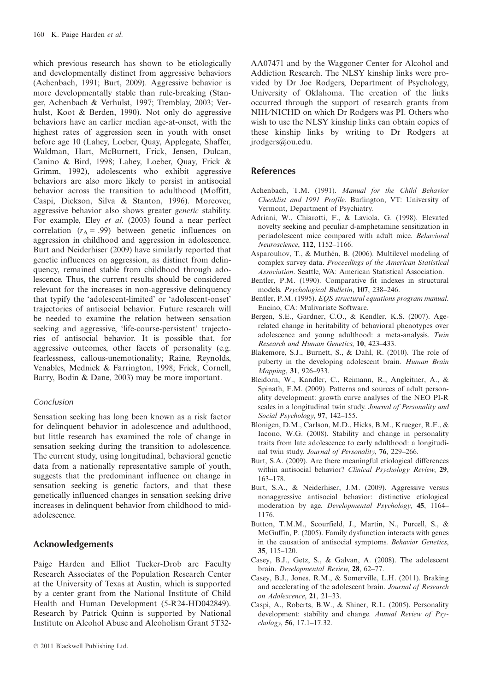which previous research has shown to be etiologically and developmentally distinct from aggressive behaviors (Achenbach, 1991; Burt, 2009). Aggressive behavior is more developmentally stable than rule-breaking (Stanger, Achenbach & Verhulst, 1997; Tremblay, 2003; Verhulst, Koot & Berden, 1990). Not only do aggressive behaviors have an earlier median age-at-onset, with the highest rates of aggression seen in youth with onset before age 10 (Lahey, Loeber, Quay, Applegate, Shaffer, Waldman, Hart, McBurnett, Frick, Jensen, Dulcan, Canino & Bird, 1998; Lahey, Loeber, Quay, Frick & Grimm, 1992), adolescents who exhibit aggressive behaviors are also more likely to persist in antisocial behavior across the transition to adulthood (Moffitt, Caspi, Dickson, Silva & Stanton, 1996). Moreover, aggressive behavior also shows greater genetic stability. For example, Eley et al. (2003) found a near perfect correlation  $(r_A = .99)$  between genetic influences on aggression in childhood and aggression in adolescence. Burt and Neiderhiser (2009) have similarly reported that genetic influences on aggression, as distinct from delinquency, remained stable from childhood through adolescence. Thus, the current results should be considered relevant for the increases in non-aggressive delinquency that typify the 'adolescent-limited' or 'adolescent-onset' trajectories of antisocial behavior. Future research will be needed to examine the relation between sensation seeking and aggressive, 'life-course-persistent' trajectories of antisocial behavior. It is possible that, for aggressive outcomes, other facets of personality (e.g. fearlessness, callous-unemotionality; Raine, Reynolds, Venables, Mednick & Farrington, 1998; Frick, Cornell, Barry, Bodin & Dane, 2003) may be more important.

# Conclusion

Sensation seeking has long been known as a risk factor for delinquent behavior in adolescence and adulthood, but little research has examined the role of change in sensation seeking during the transition to adolescence. The current study, using longitudinal, behavioral genetic data from a nationally representative sample of youth, suggests that the predominant influence on change in sensation seeking is genetic factors, and that these genetically influenced changes in sensation seeking drive increases in delinquent behavior from childhood to midadolescence.

# Acknowledgements

Paige Harden and Elliot Tucker-Drob are Faculty Research Associates of the Population Research Center at the University of Texas at Austin, which is supported by a center grant from the National Institute of Child Health and Human Development (5-R24-HD042849). Research by Patrick Quinn is supported by National Institute on Alcohol Abuse and Alcoholism Grant 5T32AA07471 and by the Waggoner Center for Alcohol and Addiction Research. The NLSY kinship links were provided by Dr Joe Rodgers, Department of Psychology, University of Oklahoma. The creation of the links occurred through the support of research grants from NIH/NICHD on which Dr Rodgers was PI. Others who wish to use the NLSY kinship links can obtain copies of these kinship links by writing to Dr Rodgers at jrodgers@ou.edu.

# References

- Achenbach, T.M. (1991). Manual for the Child Behavior Checklist and 1991 Profile. Burlington, VT: University of Vermont, Department of Psychiatry.
- Adriani, W., Chiarotti, F., & Laviola, G. (1998). Elevated novelty seeking and peculiar d-amphetamine sensitization in periadolescent mice compared with adult mice. Behavioral Neuroscience, 112, 1152–1166.
- Asparouhov, T., & Muthén, B. (2006). Multilevel modeling of complex survey data. Proceedings of the American Statistical Association. Seattle, WA: American Statistical Association.
- Bentler, P.M. (1990). Comparative fit indexes in structural models. Psychological Bulletin, 107, 238–246.
- Bentler, P.M. (1995). EQS structural equations program manual. Encino, CA: Mulivariate Software.
- Bergen, S.E., Gardner, C.O., & Kendler, K.S. (2007). Agerelated change in heritability of behavioral phenotypes over adolescence and young adulthood: a meta-analysis. Twin Research and Human Genetics, 10, 423–433.
- Blakemore, S.J., Burnett, S., & Dahl, R. (2010). The role of puberty in the developing adolescent brain. Human Brain Mapping, 31, 926–933.
- Bleidorn, W., Kandler, C., Reimann, R., Angleitner, A., & Spinath, F.M. (2009). Patterns and sources of adult personality development: growth curve analyses of the NEO PI-R scales in a longitudinal twin study. Journal of Personality and Social Psychology, 97, 142–155.
- Blonigen, D.M., Carlson, M.D., Hicks, B.M., Krueger, R.F., & Iacono, W.G. (2008). Stability and change in personality traits from late adolescence to early adulthood: a longitudinal twin study. Journal of Personality, 76, 229–266.
- Burt, S.A. (2009). Are there meaningful etiological differences within antisocial behavior? Clinical Psychology Review, 29, 163–178.
- Burt, S.A., & Neiderhiser, J.M. (2009). Aggressive versus nonaggressive antisocial behavior: distinctive etiological moderation by age. Developmental Psychology, 45, 1164– 1176.
- Button, T.M.M., Scourfield, J., Martin, N., Purcell, S., & McGuffin, P. (2005). Family dysfunction interacts with genes in the causation of antisocial symptoms. Behavior Genetics, 35, 115–120.
- Casey, B.J., Getz, S., & Galvan, A. (2008). The adolescent brain. Developmental Review, 28, 62–77.
- Casey, B.J., Jones, R.M., & Somerville, L.H. (2011). Braking and accelerating of the adolescent brain. Journal of Research on Adolescence, 21, 21–33.
- Caspi, A., Roberts, B.W., & Shiner, R.L. (2005). Personality development: stability and change. Annual Review of Psychology, 56, 17.1–17.32.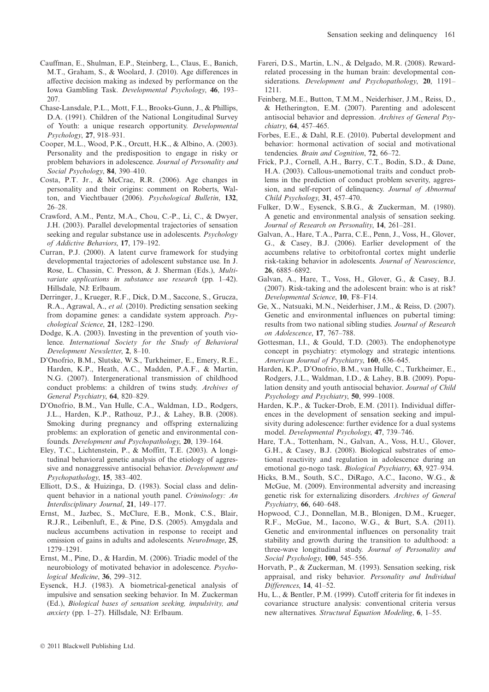- Cauffman, E., Shulman, E.P., Steinberg, L., Claus, E., Banich, M.T., Graham, S., & Woolard, J. (2010). Age differences in affective decision making as indexed by performance on the Iowa Gambling Task. Developmental Psychology, 46, 193– 207.
- Chase-Lansdale, P.L., Mott, F.L., Brooks-Gunn, J., & Phillips, D.A. (1991). Children of the National Longitudinal Survey of Youth: a unique research opportunity. Developmental Psychology, 27, 918–931.
- Cooper, M.L., Wood, P.K., Orcutt, H.K., & Albino, A. (2003). Personality and the predisposition to engage in risky or problem behaviors in adolescence. Journal of Personality and Social Psychology, 84, 390-410.
- Costa, P.T. Jr., & McCrae, R.R. (2006). Age changes in personality and their origins: comment on Roberts, Walton, and Viechtbauer (2006). Psychological Bulletin, 132, 26–28.
- Crawford, A.M., Pentz, M.A., Chou, C.-P., Li, C., & Dwyer, J.H. (2003). Parallel developmental trajectories of sensation seeking and regular substance use in adolescents. Psychology of Addictive Behaviors, 17, 179–192.
- Curran, P.J. (2000). A latent curve framework for studying developmental trajectories of adolescent substance use. In J. Rose, L. Chassin, C. Presson, & J. Sherman (Eds.), Multivariate applications in substance use research (pp. 1–42). Hillsdale, NJ: Erlbaum.
- Derringer, J., Krueger, R.F., Dick, D.M., Saccone, S., Grucza, R.A., Agrawal, A., et al. (2010). Predicting sensation seeking from dopamine genes: a candidate system approach. Psychological Science, 21, 1282–1290.
- Dodge, K.A. (2003). Investing in the prevention of youth violence. International Society for the Study of Behavioral Development Newsletter, 2, 8–10.
- D'Onofrio, B.M., Slutske, W.S., Turkheimer, E., Emery, R.E., Harden, K.P., Heath, A.C., Madden, P.A.F., & Martin, N.G. (2007). Intergenerational transmission of childhood conduct problems: a children of twins study. Archives of General Psychiatry, 64, 820–829.
- D'Onofrio, B.M., Van Hulle, C.A., Waldman, I.D., Rodgers, J.L., Harden, K.P., Rathouz, P.J., & Lahey, B.B. (2008). Smoking during pregnancy and offspring externalizing problems: an exploration of genetic and environmental confounds. Development and Psychopathology, 20, 139–164.
- Eley, T.C., Lichtenstein, P., & Moffitt, T.E. (2003). A longitudinal behavioral genetic analysis of the etiology of aggressive and nonaggressive antisocial behavior. Development and Psychopathology, 15, 383–402.
- Elliott, D.S., & Huizinga, D. (1983). Social class and delinquent behavior in a national youth panel. Criminology: An Interdisciplinary Journal, 21, 149–177.
- Ernst, M., Jazbec, S., McClure, E.B., Monk, C.S., Blair, R.J.R., Leibenluft, E., & Pine, D.S. (2005). Amygdala and nucleus accumbens activation in response to receipt and omission of gains in adults and adolescents. NeuroImage, 25, 1279–1291.
- Ernst, M., Pine, D., & Hardin, M. (2006). Triadic model of the neurobiology of motivated behavior in adolescence. Psychological Medicine, 36, 299-312.
- Eysenck, H.J. (1983). A biometrical-genetical analysis of impulsive and sensation seeking behavior. In M. Zuckerman (Ed.), Biological bases of sensation seeking, impulsivity, and anxiety (pp. 1–27). Hillsdale, NJ: Erlbaum.
- Fareri, D.S., Martin, L.N., & Delgado, M.R. (2008). Rewardrelated processing in the human brain: developmental considerations. Development and Psychopathology, 20, 1191– 1211.
- Feinberg, M.E., Button, T.M.M., Neiderhiser, J.M., Reiss, D., & Hetherington, E.M. (2007). Parenting and adolescent antisocial behavior and depression. Archives of General Psychiatry, 64, 457–465.
- Forbes, E.E., & Dahl, R.E. (2010). Pubertal development and behavior: hormonal activation of social and motivational tendencies. Brain and Cognition, 72, 66-72.
- Frick, P.J., Cornell, A.H., Barry, C.T., Bodin, S.D., & Dane, H.A. (2003). Callous-unemotional traits and conduct problems in the prediction of conduct problem severity, aggression, and self-report of delinquency. Journal of Abnormal Child Psychology, 31, 457–470.
- Fulker, D.W., Eysenck, S.B.G., & Zuckerman, M. (1980). A genetic and environmental analysis of sensation seeking. Journal of Research on Personality, 14, 261–281.
- Galvan, A., Hare, T.A., Parra, C.E., Penn, J., Voss, H., Glover, G., & Casey, B.J. (2006). Earlier development of the accumbens relative to orbitofrontal cortex might underlie risk-taking behavior in adolescents. Journal of Neuroscience, 26, 6885–6892.
- Galvan, A., Hare, T., Voss, H., Glover, G., & Casey, B.J. (2007). Risk-taking and the adolescent brain: who is at risk? Developmental Science, 10, F8–F14.
- Ge, X., Natsuaki, M.N., Neiderhiser, J.M., & Reiss, D. (2007). Genetic and environmental influences on pubertal timing: results from two national sibling studies. Journal of Research on Adolescence, 17, 767–788.
- Gottesman, I.I., & Gould, T.D. (2003). The endophenotype concept in psychiatry: etymology and strategic intentions. American Journal of Psychiatry, 160, 636–645.
- Harden, K.P., D'Onofrio, B.M., van Hulle, C., Turkheimer, E., Rodgers, J.L., Waldman, I.D., & Lahey, B.B. (2009). Population density and youth antisocial behavior. Journal of Child Psychology and Psychiatry, 50, 999–1008.
- Harden, K.P., & Tucker-Drob, E.M. (2011). Individual differences in the development of sensation seeking and impulsivity during adolescence: further evidence for a dual systems model. Developmental Psychology, 47, 739–746.
- Hare, T.A., Tottenham, N., Galvan, A., Voss, H.U., Glover, G.H., & Casey, B.J. (2008). Biological substrates of emotional reactivity and regulation in adolescence during an emotional go-nogo task. Biological Psychiatry, 63, 927–934.
- Hicks, B.M., South, S.C., DiRago, A.C., Iacono, W.G., & McGue, M. (2009). Environmental adversity and increasing genetic risk for externalizing disorders. Archives of General Psychiatry, 66, 640–648.
- Hopwood, C.J., Donnellan, M.B., Blonigen, D.M., Krueger, R.F., McGue, M., Iacono, W.G., & Burt, S.A. (2011). Genetic and environmental influences on personality trait stability and growth during the transition to adulthood: a three-wave longitudinal study. Journal of Personality and Social Psychology, 100, 545–556.
- Horvath, P., & Zuckerman, M. (1993). Sensation seeking, risk appraisal, and risky behavior. Personality and Individual Differences, 14, 41–52.
- Hu, L., & Bentler, P.M. (1999). Cutoff criteria for fit indexes in covariance structure analysis: conventional criteria versus new alternatives. Structural Equation Modeling, 6, 1–55.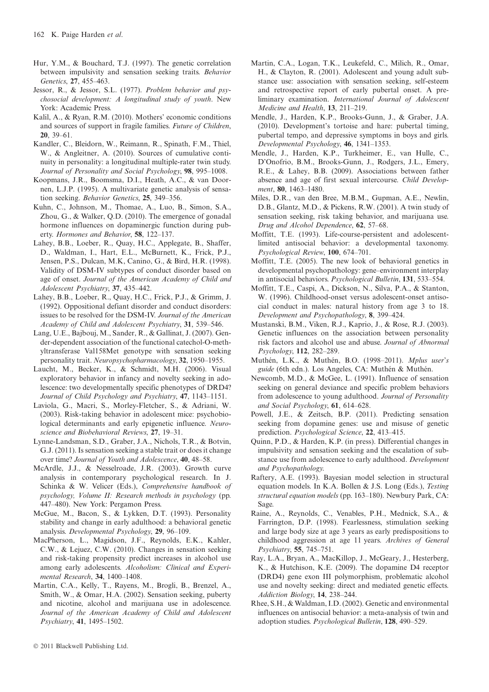- Hur, Y.M., & Bouchard, T.J. (1997). The genetic correlation between impulsivity and sensation seeking traits. Behavior Genetics, 27, 455–463.
- Jessor, R., & Jessor, S.L. (1977). Problem behavior and psychosocial development: A longitudinal study of youth. New York: Academic Press.
- Kalil, A., & Ryan, R.M. (2010). Mothers' economic conditions and sources of support in fragile families. Future of Children, 20, 39–61.
- Kandler, C., Bleidorn, W., Reimann, R., Spinath, F.M., Thiel, W., & Angleitner, A. (2010). Sources of cumulative continuity in personality: a longitudinal multiple-rater twin study. Journal of Personality and Social Psychology, 98, 995-1008.
- Koopmans, J.R., Boomsma, D.I., Heath, A.C., & van Doornen, L.J.P. (1995). A multivariate genetic analysis of sensation seeking. Behavior Genetics, 25, 349–356.
- Kuhn, C., Johnson, M., Thomae, A., Luo, B., Simon, S.A., Zhou, G., & Walker, Q.D. (2010). The emergence of gonadal hormone influences on dopaminergic function during puberty. Hormones and Behavior, 58, 122–137.
- Lahey, B.B., Loeber, R., Quay, H.C., Applegate, B., Shaffer, D., Waldman, I., Hart, E.L., McBurnett, K., Frick, P.J., Jensen, P.S., Dulcan, M.K, Canino, G., & Bird, H.R. (1998). Validity of DSM-IV subtypes of conduct disorder based on age of onset. Journal of the American Academy of Child and Adolescent Psychiatry, 37, 435–442.
- Lahey, B.B., Loeber, R., Quay, H.C., Frick, P.J., & Grimm, J. (1992). Oppositional defiant disorder and conduct disorders: issues to be resolved for the DSM-IV. Journal of the American Academy of Child and Adolescent Psychiatry, 31, 539–546.
- Lang, U.E., Bajbouj, M., Sander, R., & Gallinat, J. (2007). Gender-dependent association of the functional catechol-O-methyltransferase Val158Met genotype with sensation seeking personality trait. Neuropsychopharmacology, 32, 1950–1955.
- Laucht, M., Becker, K., & Schmidt, M.H. (2006). Visual exploratory behavior in infancy and novelty seeking in adolescence: two developmentally specific phenotypes of DRD4? Journal of Child Psychology and Psychiatry, 47, 1143–1151.
- Laviola, G., Macri, S., Morley-Fletcher, S., & Adriani, W. (2003). Risk-taking behavior in adolescent mice: psychobiological determinants and early epigenetic influence. Neuroscience and Biobehavioral Reviews, 27, 19–31.
- Lynne-Landsman, S.D., Graber, J.A., Nichols, T.R., & Botvin, G.J. (2011). Is sensation seeking a stable trait or does it change over time? Journal of Youth and Adolescence, 40, 48–58.
- McArdle, J.J., & Nesselroade, J.R. (2003). Growth curve analysis in contemporary psychological research. In J. Schinka & W. Velicer (Eds.), Comprehensive handbook of psychology, Volume II: Research methods in psychology (pp. 447–480). New York: Pergamon Press.
- McGue, M., Bacon, S., & Lykken, D.T. (1993). Personality stability and change in early adulthood: a behavioral genetic analysis. Developmental Psychology, 29, 96–109.
- MacPherson, L., Magidson, J.F., Reynolds, E.K., Kahler, C.W., & Lejuez, C.W. (2010). Changes in sensation seeking and risk-taking propensity predict increases in alcohol use among early adolescents. Alcoholism: Clinical and Experimental Research, 34, 1400–1408.
- Martin, C.A., Kelly, T., Rayens, M., Brogli, B., Brenzel, A., Smith, W., & Omar, H.A. (2002). Sensation seeking, puberty and nicotine, alcohol and marijuana use in adolescence. Journal of the American Academy of Child and Adolescent Psychiatry, 41, 1495–1502.
- Martin, C.A., Logan, T.K., Leukefeld, C., Milich, R., Omar, H., & Clayton, R. (2001). Adolescent and young adult substance use: association with sensation seeking, self-esteem and retrospective report of early pubertal onset. A preliminary examination. International Journal of Adolescent Medicine and Health, 13, 211–219.
- Mendle, J., Harden, K.P., Brooks-Gunn, J., & Graber, J.A. (2010). Development's tortoise and hare: pubertal timing, pubertal tempo, and depressive symptoms in boys and girls. Developmental Psychology, 46, 1341–1353.
- Mendle, J., Harden, K.P., Turkheimer, E., van Hulle, C., D'Onofrio, B.M., Brooks-Gunn, J., Rodgers, J.L., Emery, R.E., & Lahey, B.B. (2009). Associations between father absence and age of first sexual intercourse. Child Development, 80, 1463–1480.
- Miles, D.R., van den Bree, M.B.M., Gupman, A.E., Newlin, D.B., Glantz, M.D., & Pickens, R.W. (2001). A twin study of sensation seeking, risk taking behavior, and marijuana use. Drug and Alcohol Dependence, 62, 57–68.
- Moffitt, T.E. (1993). Life-course-persistent and adolescentlimited antisocial behavior: a developmental taxonomy. Psychological Review, 100, 674–701.
- Moffitt, T.E. (2005). The new look of behavioral genetics in developmental psychopathology: gene–environment interplay in antisocial behaviors. Psychological Bulletin, 131, 533–554.
- Moffitt, T.E., Caspi, A., Dickson, N., Silva, P.A., & Stanton, W. (1996). Childhood-onset versus adolescent-onset antisocial conduct in males: natural history from age 3 to 18. Development and Psychopathology, 8, 399–424.
- Mustanski, B.M., Viken, R.J., Kaprio, J., & Rose, R.J. (2003). Genetic influences on the association between personality risk factors and alcohol use and abuse. Journal of Abnormal Psychology, 112, 282–289.
- Muthén, L.K., & Muthén, B.O. (1998-2011). Mplus user's guide (6th edn.). Los Angeles, CA: Muthén & Muthén.
- Newcomb, M.D., & McGee, L. (1991). Influence of sensation seeking on general deviance and specific problem behaviors from adolescence to young adulthood. Journal of Personality and Social Psychology, 61, 614–628.
- Powell, J.E., & Zeitsch, B.P. (2011). Predicting sensation seeking from dopamine genes: use and misuse of genetic prediction. Psychological Science, 22, 413–415.
- Quinn, P.D., & Harden, K.P. (in press). Differential changes in impulsivity and sensation seeking and the escalation of substance use from adolescence to early adulthood. Development and Psychopathology.
- Raftery, A.E. (1993). Bayesian model selection in structural equation models. In K.A. Bollen & J.S. Long (Eds.), Testing structural equation models (pp. 163–180). Newbury Park, CA: Sage.
- Raine, A., Reynolds, C., Venables, P.H., Mednick, S.A., & Farrington, D.P. (1998). Fearlessness, stimulation seeking and large body size at age 3 years as early predispositions to childhood aggression at age 11 years. Archives of General Psychiatry, 55, 745–751.
- Ray, L.A., Bryan, A., MacKillop, J., McGeary, J., Hesterberg, K., & Hutchison, K.E. (2009). The dopamine D4 receptor (DRD4) gene exon III polymorphism, problematic alcohol use and novelty seeking: direct and mediated genetic effects. Addiction Biology, 14, 238–244.
- Rhee, S.H., & Waldman, I.D. (2002). Genetic and environmental influences on antisocial behavior: a meta-analysis of twin and adoption studies. Psychological Bulletin, 128, 490–529.